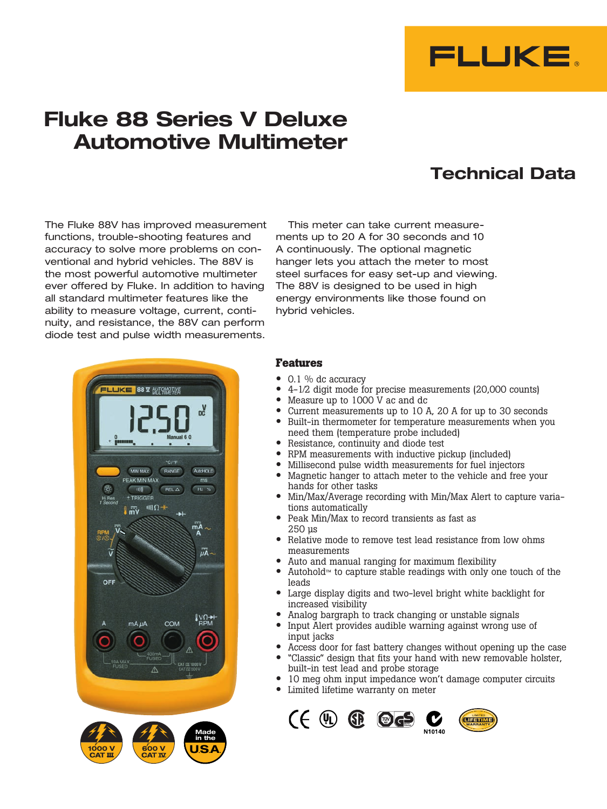

# **Fluke 88 Series V Deluxe Automotive Multimeter**

 $\alpha$ 

## **Technical Data**

The Fluke 88V has improved measurement functions, trouble-shooting features and accuracy to solve more problems on conventional and hybrid vehicles. The 88V is the most powerful automotive multimeter ever offered by Fluke. In addition to having all standard multimeter features like the ability to measure voltage, current, continuity, and resistance, the 88V can perform diode test and pulse width measurements.

88 V 4

LUKE

This meter can take current measurements up to 20 A for 30 seconds and 10 A continuously. The optional magnetic hanger lets you attach the meter to most steel surfaces for easy set-up and viewing. The 88V is designed to be used in high energy environments like those found on hybrid vehicles.

#### **Features**

- 0.1 % dc accuracy
- 4-1⁄2 digit mode for precise measurements (20,000 counts)
- Measure up to 1000 V ac and dc
- Current measurements up to 10 A, 20 A for up to 30 seconds
- Built-in thermometer for temperature measurements when you need them (temperature probe included)
- Resistance, continuity and diode test
- RPM measurements with inductive pickup (included)
- Millisecond pulse width measurements for fuel injectors
- Magnetic hanger to attach meter to the vehicle and free your hands for other tasks
- Min/Max/Average recording with Min/Max Alert to capture variations automatically
- Peak Min/Max to record transients as fast as 250 µs
- Relative mode to remove test lead resistance from low ohms measurements
- Auto and manual ranging for maximum flexibility
- Autohold™ to capture stable readings with only one touch of the leads
- Large display digits and two-level bright white backlight for increased visibility
- Analog bargraph to track changing or unstable signals
- Input Alert provides audible warning against wrong use of input jacks
- Access door for fast battery changes without opening up the case
- "Classic" design that fits your hand with new removable holster, built-in test lead and probe storage
- 10 meg ohm input impedance won't damage computer circuits
- Limited lifetime warranty on meter